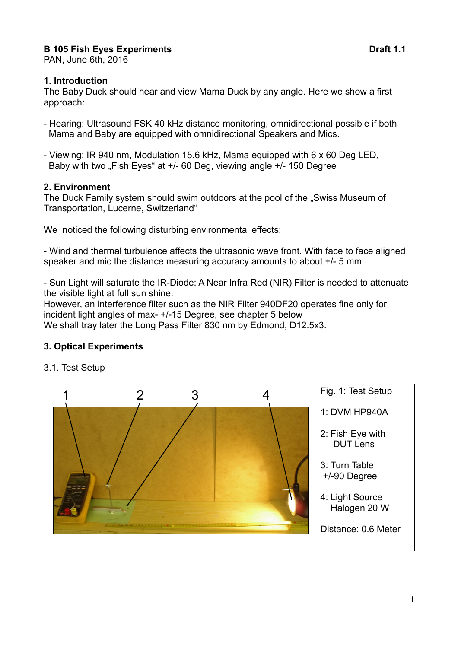# **B 105 Fish Eyes Experiments Draft 1.1**

PAN, June 6th, 2016

#### **1. Introduction**

The Baby Duck should hear and view Mama Duck by any angle. Here we show a first approach:

- Hearing: Ultrasound FSK 40 kHz distance monitoring, omnidirectional possible if both Mama and Baby are equipped with omnidirectional Speakers and Mics.
- Viewing: IR 940 nm, Modulation 15.6 kHz, Mama equipped with 6 x 60 Deg LED, Baby with two "Fish Eyes" at  $+/-$  60 Deg, viewing angle  $+/-$  150 Degree

#### **2. Environment**

The Duck Family system should swim outdoors at the pool of the "Swiss Museum of Transportation, Lucerne, Switzerland"

We noticed the following disturbing environmental effects:

- Wind and thermal turbulence affects the ultrasonic wave front. With face to face aligned speaker and mic the distance measuring accuracy amounts to about +/- 5 mm

- Sun Light will saturate the IR-Diode: A Near Infra Red (NIR) Filter is needed to attenuate the visible light at full sun shine.

However, an interference filter such as the NIR Filter 940DF20 operates fine only for incident light angles of max- +/-15 Degree, see chapter 5 below We shall tray later the Long Pass Filter 830 nm by Edmond, D12.5x3.

### **3. Optical Experiments**



3.1. Test Setup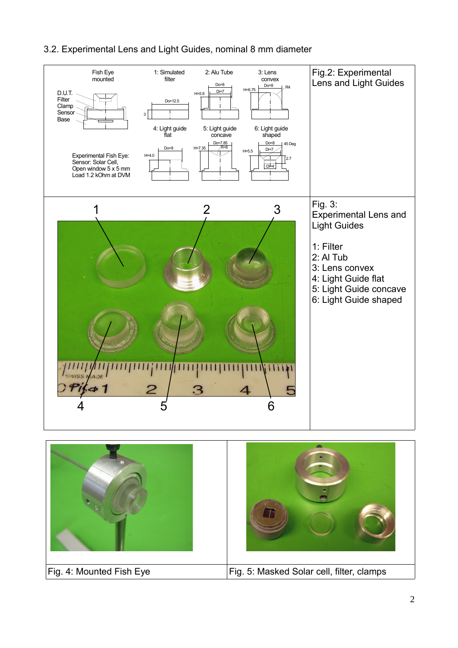## 3.2. Experimental Lens and Light Guides, nominal 8 mm diameter



Fig. 4: Mounted Fish Eye Fig. 5: Masked Solar cell, filter, clamps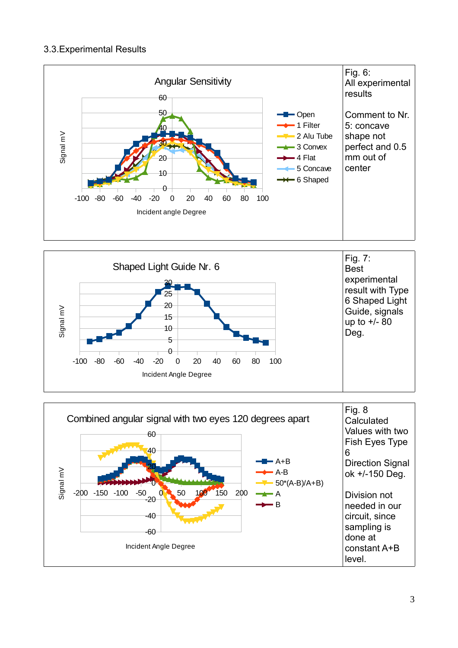### 3.3.Experimental Results





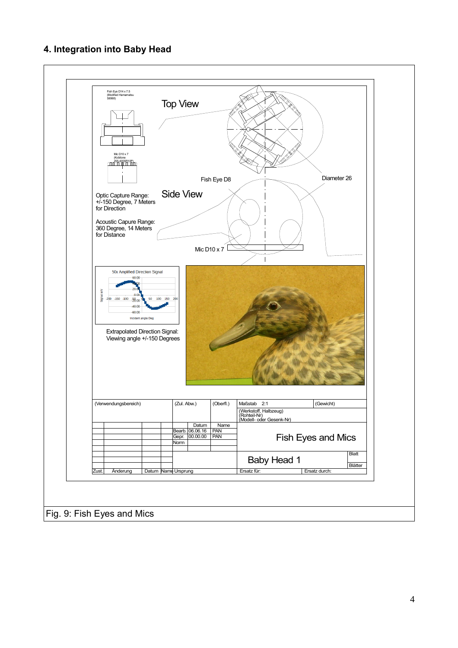# **4. Integration into Baby Head**

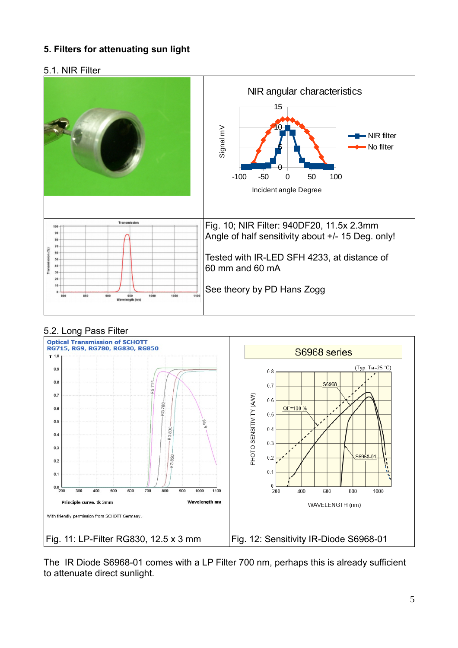## **5. Filters for attenuating sun light**

#### 5.1. NIR Filter



### 5.2. Long Pass Filter



The IR Diode S6968-01 comes with a LP Filter 700 nm, perhaps this is already sufficient to attenuate direct sunlight.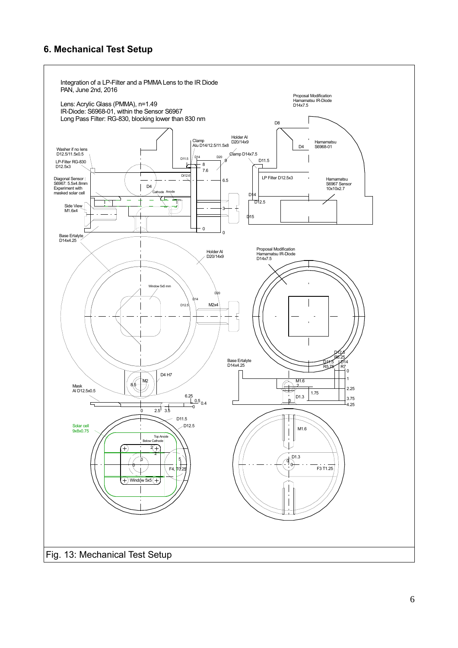## **6. Mechanical Test Setup**